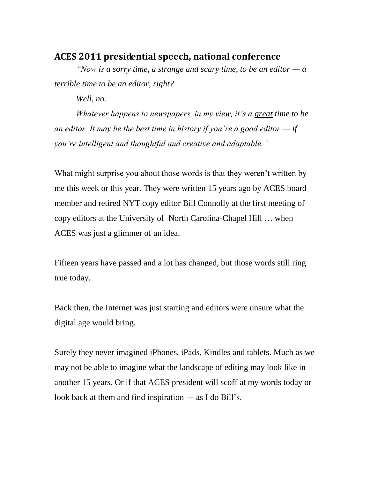## **ACES 2011 presidential speech, national conference**

*"Now is a sorry time, a strange and scary time, to be an editor — a terrible time to be an editor, right?*

*Well, no.* 

*Whatever happens to newspapers, in my view, it's a great time to be*  an editor. It may be the best time in history if you're a good editor  $-$  *if you're intelligent and thoughtful and creative and adaptable."*

What might surprise you about those words is that they weren't written by me this week or this year. They were written 15 years ago by ACES board member and retired NYT copy editor Bill Connolly at the first meeting of copy editors at the University of North Carolina-Chapel Hill … when ACES was just a glimmer of an idea.

Fifteen years have passed and a lot has changed, but those words still ring true today.

Back then, the Internet was just starting and editors were unsure what the digital age would bring.

Surely they never imagined iPhones, iPads, Kindles and tablets. Much as we may not be able to imagine what the landscape of editing may look like in another 15 years. Or if that ACES president will scoff at my words today or look back at them and find inspiration -- as I do Bill's.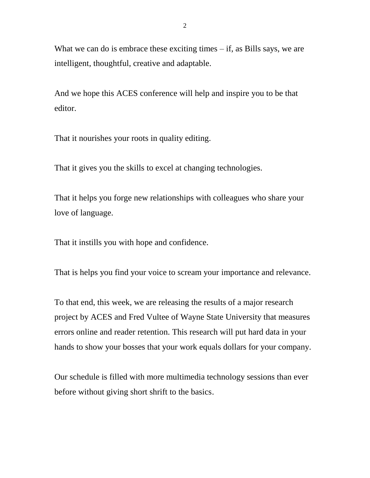What we can do is embrace these exciting times  $-$  if, as Bills says, we are intelligent, thoughtful, creative and adaptable.

And we hope this ACES conference will help and inspire you to be that editor.

That it nourishes your roots in quality editing.

That it gives you the skills to excel at changing technologies.

That it helps you forge new relationships with colleagues who share your love of language.

That it instills you with hope and confidence.

That is helps you find your voice to scream your importance and relevance.

To that end, this week, we are releasing the results of a major research project by ACES and Fred Vultee of Wayne State University that measures errors online and reader retention. This research will put hard data in your hands to show your bosses that your work equals dollars for your company.

Our schedule is filled with more multimedia technology sessions than ever before without giving short shrift to the basics.